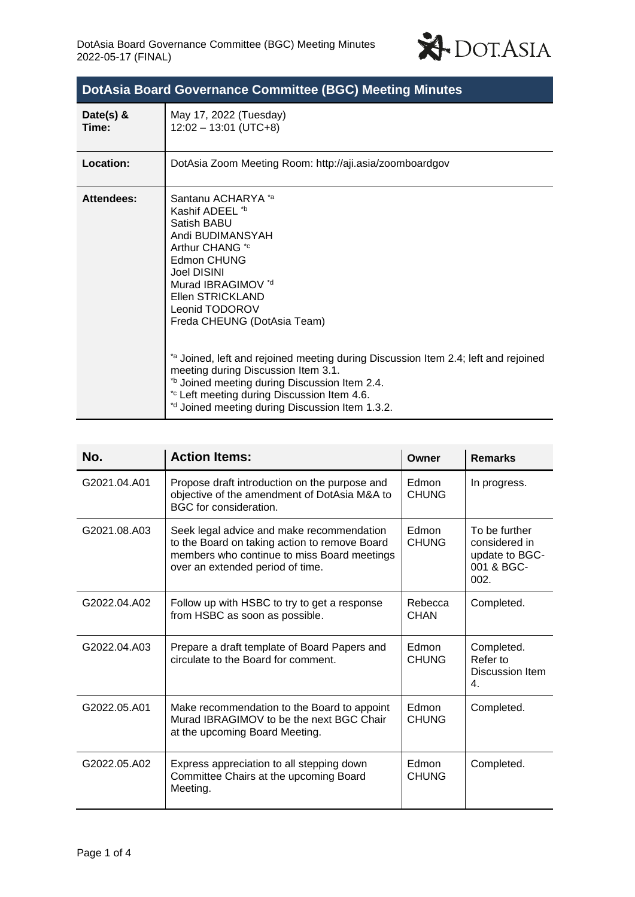

| DotAsia Board Governance Committee (BGC) Meeting Minutes |                                                                                                                                                                                                                                                                                                                                                                                                                                                                                                                        |  |  |  |
|----------------------------------------------------------|------------------------------------------------------------------------------------------------------------------------------------------------------------------------------------------------------------------------------------------------------------------------------------------------------------------------------------------------------------------------------------------------------------------------------------------------------------------------------------------------------------------------|--|--|--|
| Date(s) $\&$<br>Time:                                    | May 17, 2022 (Tuesday)<br>$12:02 - 13:01$ (UTC+8)                                                                                                                                                                                                                                                                                                                                                                                                                                                                      |  |  |  |
| Location:                                                | DotAsia Zoom Meeting Room: http://aji.asia/zoomboardgov                                                                                                                                                                                                                                                                                                                                                                                                                                                                |  |  |  |
| <b>Attendees:</b>                                        | Santanu ACHARYA *a<br>Kashif ADEEL *b<br>Satish BABU<br>Andi BUDIMANSYAH<br>Arthur CHANG <sup>*c</sup><br>Edmon CHUNG<br><b>Joel DISINI</b><br>Murad IBRAGIMOV *d<br>Ellen STRICKLAND<br>Leonid TODOROV<br>Freda CHEUNG (DotAsia Team)<br>*a Joined, left and rejoined meeting during Discussion Item 2.4; left and rejoined<br>meeting during Discussion Item 3.1.<br>*b Joined meeting during Discussion Item 2.4.<br>*c Left meeting during Discussion Item 4.6.<br>*d Joined meeting during Discussion Item 1.3.2. |  |  |  |

| No.          | <b>Action Items:</b>                                                                                                                                                          | Owner                  | <b>Remarks</b>                                                         |
|--------------|-------------------------------------------------------------------------------------------------------------------------------------------------------------------------------|------------------------|------------------------------------------------------------------------|
| G2021.04.A01 | Propose draft introduction on the purpose and<br>objective of the amendment of DotAsia M&A to<br>BGC for consideration.                                                       | Edmon<br><b>CHUNG</b>  | In progress.                                                           |
| G2021.08.A03 | Seek legal advice and make recommendation<br>to the Board on taking action to remove Board<br>members who continue to miss Board meetings<br>over an extended period of time. | Edmon<br><b>CHUNG</b>  | To be further<br>considered in<br>update to BGC-<br>001 & BGC-<br>002. |
| G2022.04.A02 | Follow up with HSBC to try to get a response<br>from HSBC as soon as possible.                                                                                                | Rebecca<br><b>CHAN</b> | Completed.                                                             |
| G2022.04.A03 | Prepare a draft template of Board Papers and<br>circulate to the Board for comment.                                                                                           | Edmon<br><b>CHUNG</b>  | Completed.<br>Refer to<br>Discussion Item<br>4.                        |
| G2022.05.A01 | Make recommendation to the Board to appoint<br>Murad IBRAGIMOV to be the next BGC Chair<br>at the upcoming Board Meeting.                                                     | Edmon<br><b>CHUNG</b>  | Completed.                                                             |
| G2022.05.A02 | Express appreciation to all stepping down<br>Committee Chairs at the upcoming Board<br>Meeting.                                                                               | Edmon<br><b>CHUNG</b>  | Completed.                                                             |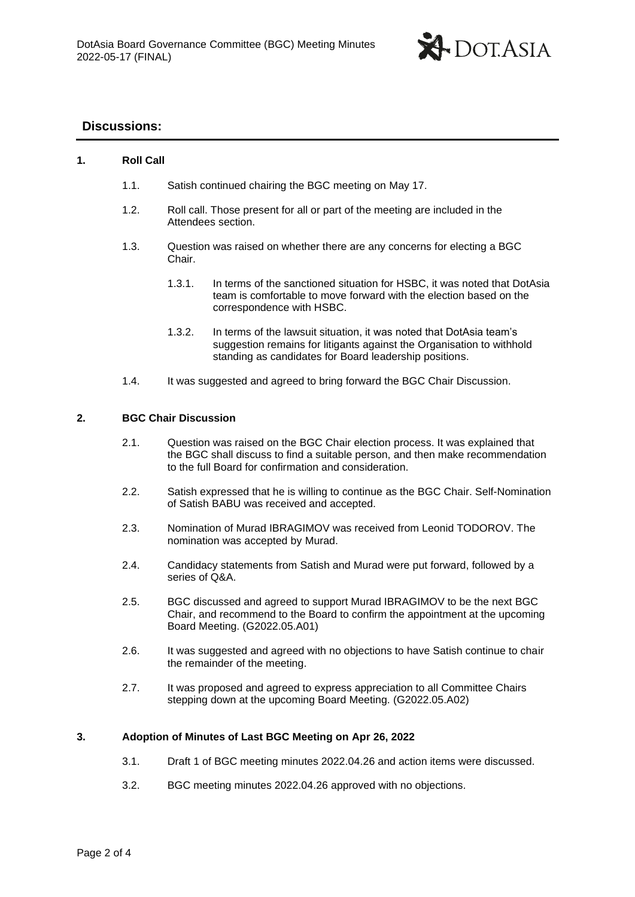

# **Discussions:**

## **1. Roll Call**

- 1.1. Satish continued chairing the BGC meeting on May 17.
- 1.2. Roll call. Those present for all or part of the meeting are included in the Attendees section.
- 1.3. Question was raised on whether there are any concerns for electing a BGC Chair.
	- 1.3.1. In terms of the sanctioned situation for HSBC, it was noted that DotAsia team is comfortable to move forward with the election based on the correspondence with HSBC.
	- 1.3.2. In terms of the lawsuit situation, it was noted that DotAsia team's suggestion remains for litigants against the Organisation to withhold standing as candidates for Board leadership positions.
- 1.4. It was suggested and agreed to bring forward the BGC Chair Discussion.

#### **2. BGC Chair Discussion**

- 2.1. Question was raised on the BGC Chair election process. It was explained that the BGC shall discuss to find a suitable person, and then make recommendation to the full Board for confirmation and consideration.
- 2.2. Satish expressed that he is willing to continue as the BGC Chair. Self-Nomination of Satish BABU was received and accepted.
- 2.3. Nomination of Murad IBRAGIMOV was received from Leonid TODOROV. The nomination was accepted by Murad.
- 2.4. Candidacy statements from Satish and Murad were put forward, followed by a series of Q&A.
- 2.5. BGC discussed and agreed to support Murad IBRAGIMOV to be the next BGC Chair, and recommend to the Board to confirm the appointment at the upcoming Board Meeting. (G2022.05.A01)
- 2.6. It was suggested and agreed with no objections to have Satish continue to chair the remainder of the meeting.
- 2.7. It was proposed and agreed to express appreciation to all Committee Chairs stepping down at the upcoming Board Meeting. (G2022.05.A02)

### **3. Adoption of Minutes of Last BGC Meeting on Apr 26, 2022**

- 3.1. Draft 1 of BGC meeting minutes 2022.04.26 and action items were discussed.
- 3.2. BGC meeting minutes 2022.04.26 approved with no objections.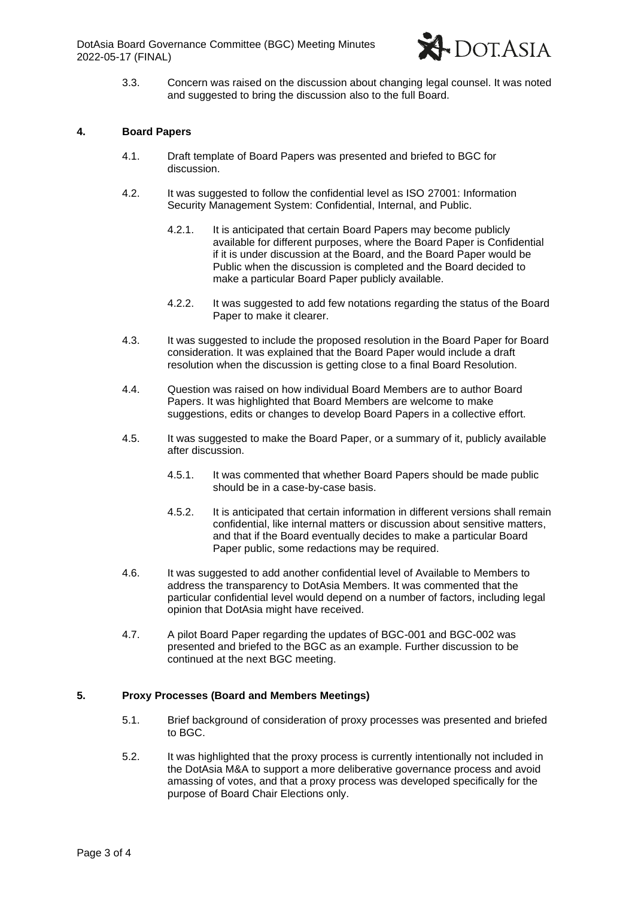

3.3. Concern was raised on the discussion about changing legal counsel. It was noted and suggested to bring the discussion also to the full Board.

#### **4. Board Papers**

- 4.1. Draft template of Board Papers was presented and briefed to BGC for discussion.
- 4.2. It was suggested to follow the confidential level as ISO 27001: Information Security Management System: Confidential, Internal, and Public.
	- 4.2.1. It is anticipated that certain Board Papers may become publicly available for different purposes, where the Board Paper is Confidential if it is under discussion at the Board, and the Board Paper would be Public when the discussion is completed and the Board decided to make a particular Board Paper publicly available.
	- 4.2.2. It was suggested to add few notations regarding the status of the Board Paper to make it clearer.
- 4.3. It was suggested to include the proposed resolution in the Board Paper for Board consideration. It was explained that the Board Paper would include a draft resolution when the discussion is getting close to a final Board Resolution.
- 4.4. Question was raised on how individual Board Members are to author Board Papers. It was highlighted that Board Members are welcome to make suggestions, edits or changes to develop Board Papers in a collective effort.
- 4.5. It was suggested to make the Board Paper, or a summary of it, publicly available after discussion.
	- 4.5.1. It was commented that whether Board Papers should be made public should be in a case-by-case basis.
	- 4.5.2. It is anticipated that certain information in different versions shall remain confidential, like internal matters or discussion about sensitive matters, and that if the Board eventually decides to make a particular Board Paper public, some redactions may be required.
- 4.6. It was suggested to add another confidential level of Available to Members to address the transparency to DotAsia Members. It was commented that the particular confidential level would depend on a number of factors, including legal opinion that DotAsia might have received.
- 4.7. A pilot Board Paper regarding the updates of BGC-001 and BGC-002 was presented and briefed to the BGC as an example. Further discussion to be continued at the next BGC meeting.

### **5. Proxy Processes (Board and Members Meetings)**

- 5.1. Brief background of consideration of proxy processes was presented and briefed to BGC.
- 5.2. It was highlighted that the proxy process is currently intentionally not included in the DotAsia M&A to support a more deliberative governance process and avoid amassing of votes, and that a proxy process was developed specifically for the purpose of Board Chair Elections only.